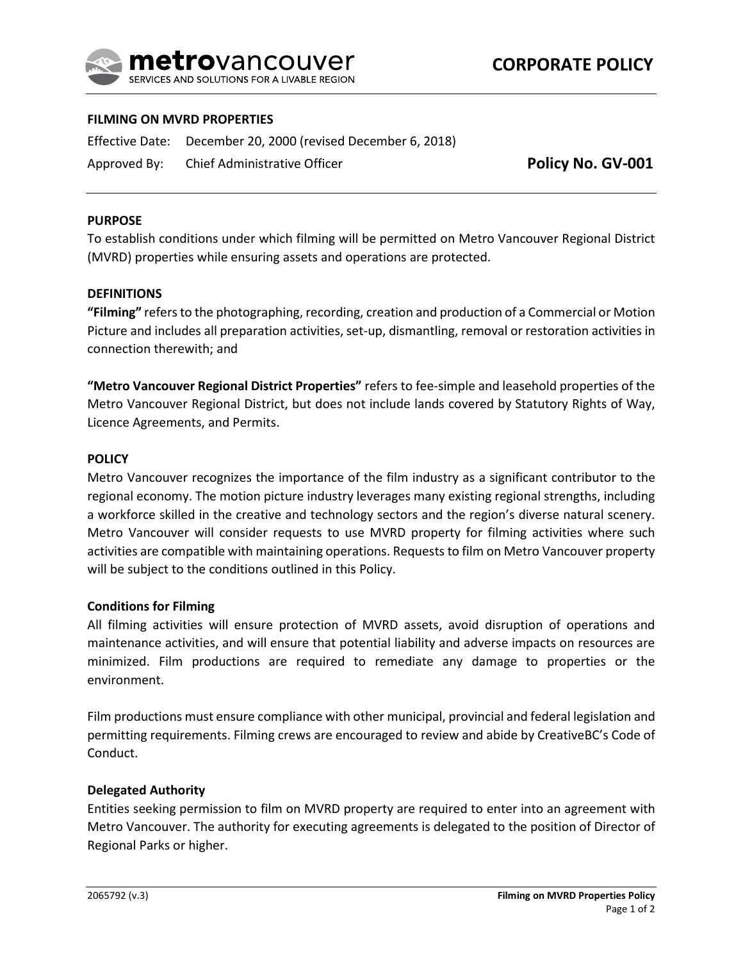

# **FILMING ON MVRD PROPERTIES**

Effective Date: December 20, 2000 (revised December 6, 2018) Approved By: Chief Administrative Officer

**Policy No. GV-001**

### **PURPOSE**

To establish conditions under which filming will be permitted on Metro Vancouver Regional District (MVRD) properties while ensuring assets and operations are protected.

#### **DEFINITIONS**

**"Filming"** refers to the photographing, recording, creation and production of a Commercial or Motion Picture and includes all preparation activities, set-up, dismantling, removal or restoration activities in connection therewith; and

**"Metro Vancouver Regional District Properties"** refers to fee-simple and leasehold properties of the Metro Vancouver Regional District, but does not include lands covered by Statutory Rights of Way, Licence Agreements, and Permits.

### **POLICY**

Metro Vancouver recognizes the importance of the film industry as a significant contributor to the regional economy. The motion picture industry leverages many existing regional strengths, including a workforce skilled in the creative and technology sectors and the region's diverse natural scenery. Metro Vancouver will consider requests to use MVRD property for filming activities where such activities are compatible with maintaining operations. Requests to film on Metro Vancouver property will be subject to the conditions outlined in this Policy.

#### **Conditions for Filming**

All filming activities will ensure protection of MVRD assets, avoid disruption of operations and maintenance activities, and will ensure that potential liability and adverse impacts on resources are minimized. Film productions are required to remediate any damage to properties or the environment.

Film productions must ensure compliance with other municipal, provincial and federal legislation and permitting requirements. Filming crews are encouraged to review and abide by CreativeBC's Code of Conduct.

### **Delegated Authority**

Entities seeking permission to film on MVRD property are required to enter into an agreement with Metro Vancouver. The authority for executing agreements is delegated to the position of Director of Regional Parks or higher.